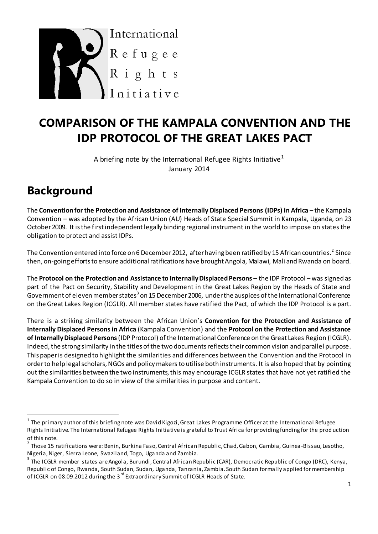

# **COMPARISON OF THE KAMPALA CONVENTION AND THE IDP PROTOCOL OF THE GREAT LAKES PACT**

A briefing note by the International Refugee Rights Initiative<sup>1</sup> January 2014

# **Background**

 $\overline{a}$ 

The **Convention for the Protection and Assistance of Internally Displaced Persons (IDPs) in Africa** – the Kampala Convention – was adopted by the African Union (AU) Heads of State Special Summit in Kampala, Uganda, on 23 October 2009. It is the first independent legally binding regional instrument in the world to impose on states the obligation to protect and assist IDPs.

The Convention entered into force on 6 December 2012, after having been ratified by 15 African countries. $^2$  Since then, on-going efforts to ensure additional ratifications have brought Angola, Malawi, Mali and Rwanda on board.

The **Protocol on the Protection and Assistance to Internally Displaced Persons –** the IDP Protocol – was signed as part of the Pact on Security, Stability and Development in the Great Lakes Region by the Heads of State and Government of eleven member states $^3$  on 15 December 2006, under the auspices of the International Conference on the Great Lakes Region (ICGLR). All member states have ratified the Pact, of which the IDP Protocol is a part.

There is a striking similarity between the African Union's **Convention for the Protection and Assistance of Internally Displaced Persons in Africa** (Kampala Convention) and the **Protocol on the Protection and Assistance of Internally Displaced Persons**(IDP Protocol) of the International Conference on the Great Lakes Region (ICGLR). Indeed, the strong similarity in the titles of the two documents reflects their common vision and parallel purpose. This paper is designed to highlight the similarities and differences between the Convention and the Protocol in order to help legal scholars, NGOs and policy makersto utilise both instruments. It is also hoped that by pointing out the similarities between the two instruments, this may encourage ICGLR states that have not yet ratified the Kampala Convention to do so in view of the similarities in purpose and content.

 $^{\rm 1}$  The primary author of this briefing note was David Kigozi, Great Lakes Programme Officer at the International Refugee Rights Initiative. The International Refugee Rights Initiative is grateful to Trust Africa for providing funding for the prod uction

of this note.<br><sup>2</sup> Those 15 ratifications were: Benin, Burkina Faso, Central African Republic, Chad, Gabon, Gambia, Guinea-Bissau, Lesotho, Nigeria, Niger, Sierra Leone, Swaziland, Togo, Uganda and Zambia.

<sup>&</sup>lt;sup>3</sup> The ICGLR member states are Angola, Burundi, Central African Republic (CAR), Democratic Republic of Congo (DRC), Kenya, Republic of Congo, Rwanda, South Sudan, Sudan, Uganda, Tanzania, Zambia. South Sudan formally applied for membership of ICGLR on 08.09.2012 during the 3<sup>rd</sup> Extraordinary Summit of ICGLR Heads of State.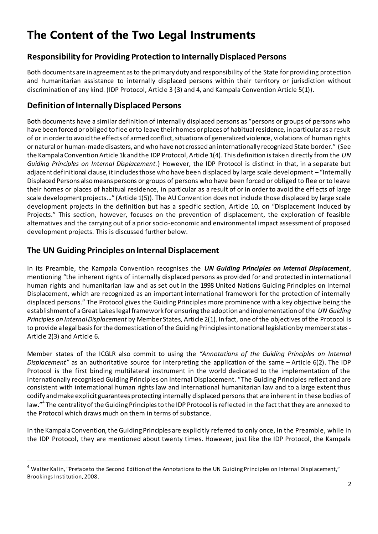# **The Content of the Two Legal Instruments**

#### **Responsibility for Providing Protection to Internally Displaced Persons**

Both documents are in agreement as to the primary duty and responsibility of the State for providing protection and humanitarian assistance to internally displaced persons within their territory or jurisdiction without discrimination of any kind. (IDP Protocol, Article 3 (3) and 4, and Kampala Convention Article 5(1)).

#### **Definition of Internally Displaced Persons**

Both documents have a similar definition of internally displaced persons as "persons or groups of persons who have been forced or obliged to flee or to leave their homes or places of habitual residence, in particular as a result of or in order to avoid the effects of armed conflict, situations of generalized violence, violations of human rights or natural or human-made disasters, and who have not crossed an internationally recognized State border." (See the Kampala Convention Article 1k and the IDP Protocol, Article 1(4). This definition is taken directly from the *UN Guiding Principles on Internal Displacement.*) However, the IDP Protocol is distinct in that, in a separate but adjacent definitional clause, it includes those who have been displaced by large scale development – "Internally Displaced Persons also means persons or groups of persons who have been forced or obliged to flee or to leave their homes or places of habitual residence, in particular as a result of or in order to avoid the eff ects of large scale development projects..." (Article 1(5)). The AU Convention does not include those displaced by large scale development projects in the definition but has a specific section, Article 10, on "Displacement Induced by Projects." This section, however, focuses on the prevention of displacement, the exploration of feasible alternatives and the carrying out of a prior socio-economic and environmental impact assessment of proposed development projects. This is discussed further below.

### **The UN Guiding Principles on Internal Displacement**

 $\overline{a}$ 

In its Preamble, the Kampala Convention recognises the *UN Guiding Principles on Internal Displacement*, mentioning "the inherent rights of internally displaced persons as provided for and protected in international human rights and humanitarian law and as set out in the 1998 United Nations Guiding Principles on Internal Displacement, which are recognized as an important international framework for the protection of internally displaced persons." The Protocol gives the Guiding Principles more prominence with a key objective being the establishment of a Great Lakes legal framework for ensuring the adoption and implementation of the *UN Guiding Principles on Internal Displacement* by Member States*,* Article 2(1). In fact, one of the objectives of the Protocol is to provide a legal basis for the domestication of the Guiding Principles into national legislation by member states-Article 2(3) and Article 6.

Member states of the ICGLR also commit to using the *"Annotations of the Guiding Principles on Internal Displacement"* as an authoritative source for interpreting the application of the same – Article 6(2). The IDP Protocol is the first binding multilateral instrument in the world dedicated to the implementation of the internationally recognised Guiding Principles on Internal Displacement. "The Guiding Principles reflect and are consistent with international human rights law and international humanitarian law and to a large extent thus codify and make explicit guarantees protecting internally displaced persons that are inherent in these bodies of law."<sup>4</sup> The centrality of the Guiding Principles to the IDP Protocol is reflected in the fact that they are annexed to the Protocol which draws much on them in terms of substance.

In the Kampala Convention, the Guiding Principles are explicitly referred to only once, in the Preamble, while in the IDP Protocol, they are mentioned about twenty times. However, just like the IDP Protocol, the Kampala

<sup>&</sup>lt;sup>4</sup> Walter Kalin, "Preface to the Second Edition of the Annotations to the UN Guiding Principles on Internal Displacement," Brookings Institution, 2008.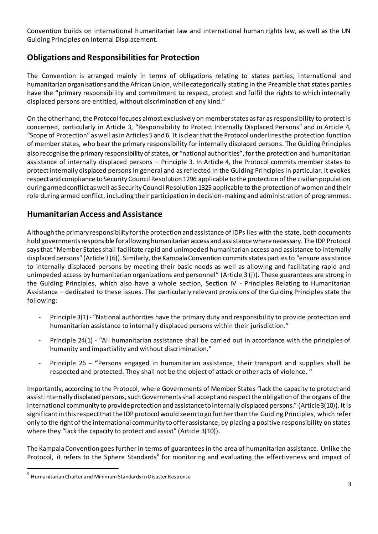Convention builds on international humanitarian law and international human rights law, as well as the UN Guiding Principles on Internal Displacement.

## **Obligations and Responsibilities for Protection**

The Convention is arranged mainly in terms of obligations relating to states parties, international and humanitarian organisations and the African Union, while categorically stating in the Preamble that states parties have the **"**primary responsibility and commitment to respect, protect and fulfil the rights to which internally displaced persons are entitled, without discrimination of any kind."

On the other hand, the Protocol focuses almost exclusively on member states as far as responsibility to protect is concerned, particularly in Article 3, "Responsibility to Protect Internally Displaced Persons" and in Article 4, "Scope of Protection" as well as in Articles 5 and 6. It is clear that the Protocol underlines the protection function of member states, who bear the primary responsibility for internally displaced persons. The Guiding Principles also recognise the primary responsibility of states, or "national authorities", for the protection and humanitarian assistance of internally displaced persons – Principle 3. In Article 4, the Protocol commits member states to protect internally displaced persons in general and as reflected in the Guiding Principles in particular. It evokes respect and compliance to Security Council Resolution 1296 applicable to the protection of the civilian population during armed conflict as well as Security Council Resolution 1325 applicable to the protection of women and their role during armed conflict, including their participation in decision-making and administration of programmes.

#### **Humanitarian Access and Assistance**

Although the primary responsibility for the protection and assistance of IDPs lies with the state, both documents hold governments responsible for allowing humanitarian access and assistance where necessary. The IDP Protocol says that "Member States shall facilitate rapid and unimpeded humanitarian access and assistance to internally displaced persons" (Article 3(6)). Similarly, the Kampala Convention commits states parties to "ensure assistance to internally displaced persons by meeting their basic needs as well as allowing and facilitating rapid and unimpeded access by humanitarian organizations and personnel" (Article 3 (j)). These guarantees are strong in the Guiding Principles, which also have a whole section, Section IV - Principles Relating to Humanitarian Assistance – dedicated to these issues. The particularly relevant provisions of the Guiding Principles state the following:

- Principle 3(1) "National authorities have the primary duty and responsibility to provide protection and humanitarian assistance to internally displaced persons within their jurisdiction."
- Principle 24(1) "All humanitarian assistance shall be carried out in accordance with the principles of humanity and impartiality and without discrimination."
- Principle 26 "Persons engaged in humanitarian assistance, their transport and supplies shall be respected and protected. They shall not be the object of attack or other acts of violence. "

Importantly, according to the Protocol, where Governments of Member States "lack the capacity to protect and assist internally displaced persons, such Governments shall accept and respect the obligation of the organs of the international community to provide protection and assistance to internally displaced persons." (Article 3(10)). It is significant in this respect that the IDP protocol would seem to go further than the Guiding Principles, which refer only to the right of the international community to offer assistance, by placing a positive responsibility on states where they "lack the capacity to protect and assist" (Article 3(10)).

The Kampala Convention goes further in terms of guarantees in the area of humanitarian assistance. Unlike the Protocol, it refers to the Sphere Standards<sup>5</sup> for monitoring and evaluating the effectiveness and impact of

 $\overline{a}$ 

<sup>&</sup>lt;sup>5</sup> Humanitarian Charter and Minimum Standards in Disaster Response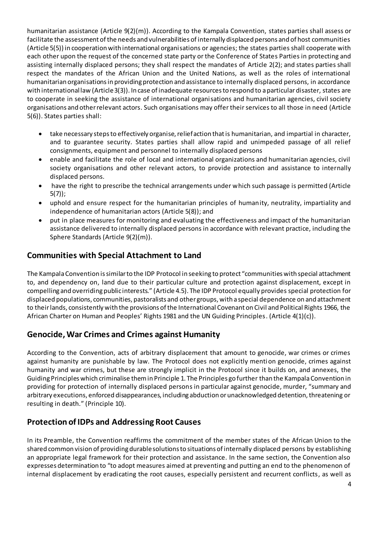humanitarian assistance (Article 9(2)(m)). According to the Kampala Convention, states parties shall assess or facilitate the assessment of the needs and vulnerabilities of internally displaced persons and of host communities (Article 5(5)) in cooperation with international organisations or agencies; the states parties shall cooperate with each other upon the request of the concerned state party or the Conference of States Parties in protecting and assisting internally displaced persons; they shall respect the mandates of Article 2(2); and states parties shall respect the mandates of the African Union and the United Nations, as well as the roles of international humanitarian organisations in providing protection and assistance to internally displaced persons, in accordance with international law (Article 3(3)). In case of inadequate resources to respond to a particulardisaster, states are to cooperate in seeking the assistance of international organisations and humanitarian agencies, civil society organisations and other relevant actors. Such organisations may offer their services to all those in need (Article 5(6)). States parties shall:

- take necessary steps to effectively organise, relief action that is humanitarian, and impartial in character, and to guarantee security. States parties shall allow rapid and unimpeded passage of all relief consignments, equipment and personnel to internally displaced persons
- enable and facilitate the role of local and international organizations and humanitarian agencies, civil society organisations and other relevant actors, to provide protection and assistance to internally displaced persons.
- have the right to prescribe the technical arrangements under which such passage is permitted (Article 5(7));
- uphold and ensure respect for the humanitarian principles of humanity, neutrality, impartiality and independence of humanitarian actors (Article 5(8)); and
- put in place measures for monitoring and evaluating the effectiveness and impact of the humanitarian assistance delivered to internally displaced persons in accordance with relevant practice, including the Sphere Standards (Article 9(2)(m)).

#### **Communities with Special Attachment to Land**

The Kampala Convention is similar to the IDP Protocol in seeking to protect "communities with special attachment to, and dependency on, land due to their particular culture and protection against displacement, except in compelling and overriding public interests." (Article 4.5). The IDP Protocol equally provides special protection for displaced populations, communities, pastoralists and other groups, with a special dependence on and attachment to their lands, consistently with the provisions of the International Covenant on Civil and Political Rights 1966, the African Charter on Human and Peoples' Rights 1981 and the UN Guiding Principles. (Article 4(1)(c)).

#### **Genocide, War Crimes and Crimes against Humanity**

According to the Convention, acts of arbitrary displacement that amount to genocide, war crimes or crimes against humanity are punishable by law. The Protocol does not explicitly menti on genocide, crimes against humanity and war crimes, but these are strongly implicit in the Protocol since it builds on, and annexes, the Guiding Principles which criminalise them in Principle 1. The Principles go further than the Kampala Convention in providing for protection of internally displaced persons in particular against genocide, murder, "summary and arbitrary executions, enforced disappearances, including abduction or unacknowledged detention, threatening or resulting in death." (Principle 10).

#### **Protection of IDPs and Addressing Root Causes**

In its Preamble, the Convention reaffirms the commitment of the member states of the African Union to the shared common vision of providing durable solutions to situations of internally displaced persons by establishing an appropriate legal framework for their protection and assistance. In the same section, the Convention also expresses determination to "to adopt measures aimed at preventing and putting an end to the phenomenon of internal displacement by eradicating the root causes, especially persistent and recurrent conflicts, as well as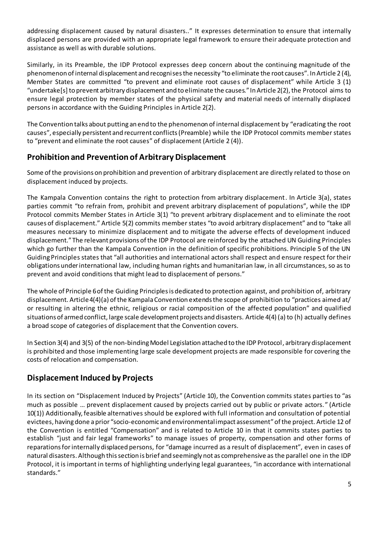addressing displacement caused by natural disasters.." It expresses determination to ensure that internally displaced persons are provided with an appropriate legal framework to ensure their adequate protection and assistance as well as with durable solutions.

Similarly, in its Preamble, the IDP Protocol expresses deep concern about the continuing magnitude of the phenomenon of internal displacement and recognises the necessity "to eliminate the root causes". In Article 2 (4), Member States are committed "to prevent and eliminate root causes of displacement" while Article 3 (1) "undertake[s] to prevent arbitrary displacement and to eliminate the causes." In Article 2(2), the Protocol aims to ensure legal protection by member states of the physical safety and material needs of internally displaced persons in accordance with the Guiding Principles in Article 2(2).

The Convention talks about putting an end to the phenomenon of internal displacement by "eradicating the root causes", especially persistent and recurrent conflicts (Preamble) while the IDP Protocol commits member states to "prevent and eliminate the root causes" of displacement (Article 2 (4)).

#### **Prohibition and Prevention of Arbitrary Displacement**

Some of the provisions on prohibition and prevention of arbitrary displacement are directly related to those on displacement induced by projects.

The Kampala Convention contains the right to protection from arbitrary displacement. In Article 3(a), states parties commit "to refrain from, prohibit and prevent arbitrary displacement of populations", while the IDP Protocol commits Member States in Article 3(1) "to prevent arbitrary displacement and to eliminate the root causes of displacement." Article 5(2) commits member states "to avoid arbitrary displacement" and to "take all measures necessary to minimize displacement and to mitigate the adverse effects of development induced displacement." The relevant provisions of the IDP Protocol are reinforced by the attached UN Guiding Principles which go further than the Kampala Convention in the definition of specific prohibitions. Principle 5 of the UN Guiding Principles states that "all authorities and international actors shall respect and ensure respect for their obligations under international law, including human rights and humanitarian law, in all circumstances, so as to prevent and avoid conditions that might lead to displacement of persons."

The whole of Principle 6 of the Guiding Principles is dedicated to protection against, and prohibition of, arbitrary displacement. Article 4(4)(a) of the Kampala Convention extends the scope of prohibition to "practices aimed at/ or resulting in altering the ethnic, religious or racial composition of the affected population" and qualified situations of armed conflict, large scale development projects and disasters. Article 4(4) (a) to (h) actually defines a broad scope of categories of displacement that the Convention covers.

In Section 3(4) and 3(5) of the non-binding Model Legislation attached to the IDP Protocol, arbitrary displacement is prohibited and those implementing large scale development projects are made responsible for covering the costs of relocation and compensation.

#### **Displacement Induced by Projects**

In its section on "Displacement Induced by Projects" (Article 10), the Convention commits states parties to "as much as possible … prevent displacement caused by projects carried out by public or private actors. " (Article 10(1)) Additionally, feasible alternatives should be explored with full information and consultation of potential evictees, having done a prior "socio-economic and environmental impact assessment"of the project. Article 12 of the Convention is entitled "Compensation" and is related to Article 10 in that it commits states parties to establish "just and fair legal frameworks" to manage issues of property, compensation and other forms of reparations for internally displaced persons, for "damage incurred as a result of displacement", even in cases of natural disasters. Although this section is brief and seemingly not as comprehensive as the parallel one in the IDP Protocol, it is important in terms of highlighting underlying legal guarantees, "in accordance with international standards."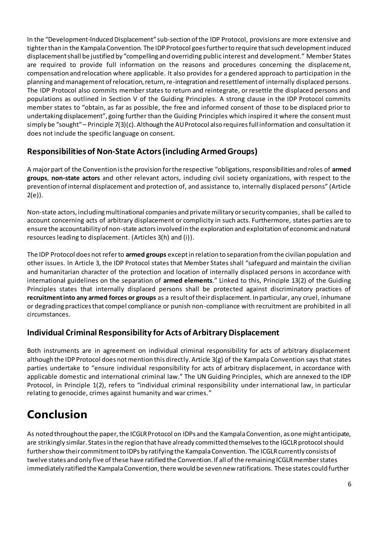In the "Development-Induced Displacement" sub-section of the IDP Protocol, provisions are more extensive and tighter than in the Kampala Convention. The IDP Protocol goes further to require that such development induced displacement shall be justified by "compelling and overriding public interest and development." Member States are required to provide full information on the reasons and procedures concerning the displaceme nt, compensation and relocation where applicable. It also provides for a gendered approach to participation in the planning and management of relocation, return, re-integration and resettlement of internally displaced persons. The IDP Protocol also commits member states to return and reintegrate, or resettle the displaced persons and populations as outlined in Section V of the Guiding Principles. A strong clause in the IDP Protocol commits member states to "obtain, as far as possible, the free and informed consent of those to be displaced prior to undertaking displacement", going further than the Guiding Principles which inspired it where the consent must simply be "sought" – Principle 7(3)(c). Although the AU Protocol also requires full information and consultation it does not include the specific language on consent.

## **Responsibilities of Non-State Actors(including Armed Groups)**

A major part of the Convention is the provision for the respective "obligations, responsibilities and roles of **armed groups**, **non-state actors** and other relevant actors, including civil society organizations, with respect to the prevention of internal displacement and protection of, and assistance to, internally displaced persons" (Article  $2(e)$ ).

Non-state actors, including multinational companies and private military or security companies, shall be called to account concerning acts of arbitrary displacement or complicity in such acts. Furthermore, states parties are to ensure the accountability of non-state actors involved in the exploration and exploitation of economic and natural resources leading to displacement. (Articles 3(h) and (i)).

The IDP Protocol does not refer to **armed groups** except in relation to separation from the civilian population and other issues. In Article 3, the IDP Protocol states that Member States shall "safeguard and maintain the civilian and humanitarian character of the protection and location of internally displaced persons in accordance with international guidelines on the separation of **armed elements**." Linked to this, Principle 13(2) of the Guiding Principles states that internally displaced persons shall be protected against discriminatory practices of **recruitment into any armed forces or groups** as a result of their displacement. In particular, any cruel, inhumane or degrading practices that compel compliance or punish non-compliance with recruitment are prohibited in all circumstances.

## **Individual Criminal Responsibility for Acts of Arbitrary Displacement**

Both instruments are in agreement on individual criminal responsibility for acts of arbitrary displacement although the IDP Protocol does not mention this directly. Article 3(g) of the Kampala Convention says that states parties undertake to "ensure individual responsibility for acts of arbitrary displacement, in accordance with applicable domestic and international criminal law." The UN Guiding Principles, which are annexed to the IDP Protocol, in Principle 1(2), refers to "individual criminal responsibility under international law, in particular relating to genocide, crimes against humanity and war crimes."

# **Conclusion**

As noted throughout the paper, the ICGLR Protocol on IDPs and the Kampala Convention, as one might anticipate, are strikingly similar. States in the region that have already committed themselves to the IGCLR protocol should further show their commitment to IDPs by ratifying the Kampala Convention. The ICGLR currently consists of twelve states and only five of these have ratified the Convention. If all of the remaining ICGLR member states immediately ratified the Kampala Convention, there would be seven new ratifications. These states could further